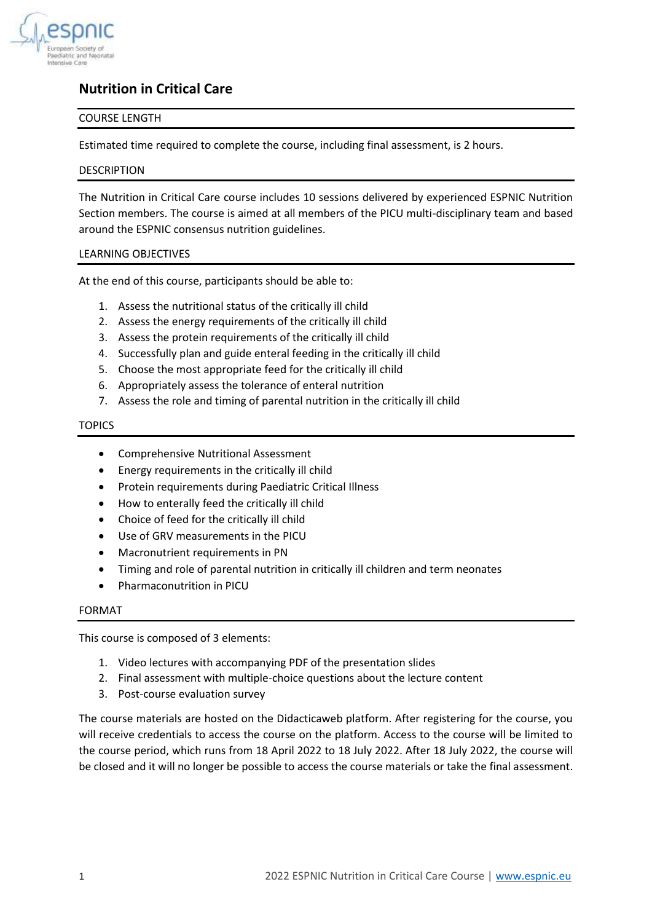

# **Nutrition in Critical Care**

# COURSE LENGTH

Estimated time required to complete the course, including final assessment, is 2 hours.

# DESCRIPTION

The Nutrition in Critical Care course includes 10 sessions delivered by experienced ESPNIC Nutrition Section members. The course is aimed at all members of the PICU multi-disciplinary team and based around the ESPNIC consensus nutrition guidelines.

# LEARNING OBJECTIVES

At the end of this course, participants should be able to:

- 1. Assess the nutritional status of the critically ill child
- 2. Assess the energy requirements of the critically ill child
- 3. Assess the protein requirements of the critically ill child
- 4. Successfully plan and guide enteral feeding in the critically ill child
- 5. Choose the most appropriate feed for the critically ill child
- 6. Appropriately assess the tolerance of enteral nutrition
- 7. Assess the role and timing of parental nutrition in the critically ill child

### TOPICS

- Comprehensive Nutritional Assessment
- Energy requirements in the critically ill child
- Protein requirements during Paediatric Critical Illness
- How to enterally feed the critically ill child
- Choice of feed for the critically ill child
- Use of GRV measurements in the PICU
- Macronutrient requirements in PN
- Timing and role of parental nutrition in critically ill children and term neonates
- Pharmaconutrition in PICU

#### FORMAT

This course is composed of 3 elements:

- 1. Video lectures with accompanying PDF of the presentation slides
- 2. Final assessment with multiple-choice questions about the lecture content
- 3. Post-course evaluation survey

The course materials are hosted on the Didacticaweb platform. After registering for the course, you will receive credentials to access the course on the platform. Access to the course will be limited to the course period, which runs from 18 April 2022 to 18 July 2022. After 18 July 2022, the course will be closed and it will no longer be possible to access the course materials or take the final assessment.